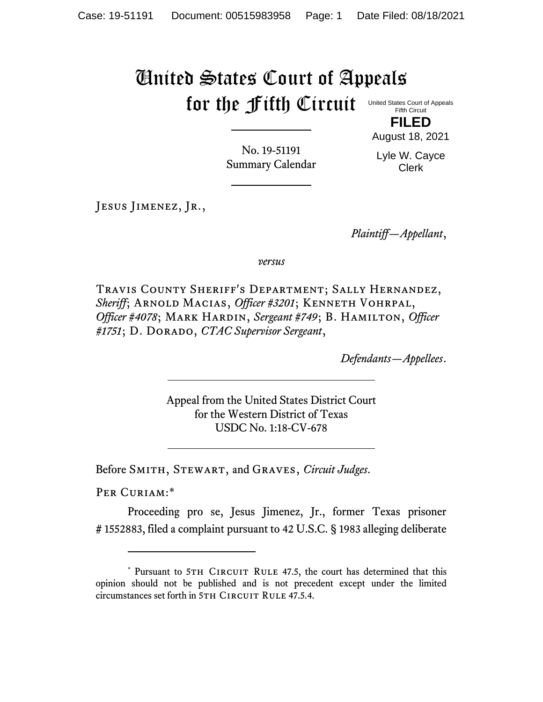## United States Court of Appeals for the Fifth Circuit

United States Court of Appeals Fifth Circuit

No. 19-51191 Summary Calendar **FILED**

August 18, 2021

Lyle W. Cayce Clerk

JESUS JIMENEZ, JR.,

*Plaintiff—Appellant*,

*versus*

Travis County Sheriff's Department; Sally Hernandez, *Sheriff*; Arnold Macias, *Officer #3201*; Kenneth Vohrpal, *Officer #4078*; Mark Hardin, *Sergeant #749*; B. Hamilton, *Officer #1751*; D. Dorado, *CTAC Supervisor Sergeant*,

*Defendants—Appellees*.

Appeal from the United States District Court for the Western District of Texas USDC No. 1:18-CV-678

Before Smith, Stewart, and Graves, *Circuit Judges*.

PER CURIAM:\*

Proceeding pro se, Jesus Jimenez, Jr., former Texas prisoner # 1552883, filed a complaint pursuant to 42 U.S.C. § 1983 alleging deliberate

<sup>\*</sup> Pursuant to 5TH CIRCUIT RULE 47.5, the court has determined that this opinion should not be published and is not precedent except under the limited circumstances set forth in 5TH CIRCUIT RULE 47.5.4.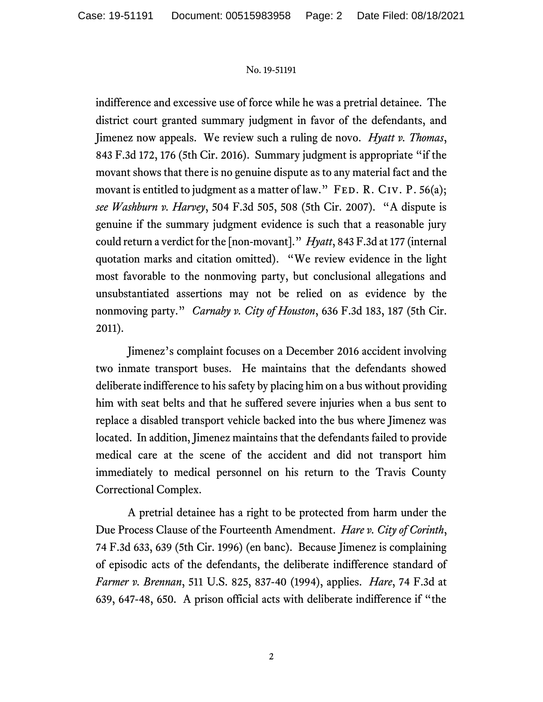## No. 19-51191

indifference and excessive use of force while he was a pretrial detainee. The district court granted summary judgment in favor of the defendants, and Jimenez now appeals. We review such a ruling de novo. *Hyatt v. Thomas*, 843 F.3d 172, 176 (5th Cir. 2016). Summary judgment is appropriate "if the movant shows that there is no genuine dispute as to any material fact and the movant is entitled to judgment as a matter of law." FED. R. CIV. P.  $56(a)$ ; *see Washburn v. Harvey*, 504 F.3d 505, 508 (5th Cir. 2007). "A dispute is genuine if the summary judgment evidence is such that a reasonable jury could return a verdict for the [non-movant]." *Hyatt*, 843 F.3d at 177 (internal quotation marks and citation omitted). "We review evidence in the light most favorable to the nonmoving party, but conclusional allegations and unsubstantiated assertions may not be relied on as evidence by the nonmoving party." *Carnaby v. City of Houston*, 636 F.3d 183, 187 (5th Cir. 2011).

Jimenez's complaint focuses on a December 2016 accident involving two inmate transport buses. He maintains that the defendants showed deliberate indifference to his safety by placing him on a bus without providing him with seat belts and that he suffered severe injuries when a bus sent to replace a disabled transport vehicle backed into the bus where Jimenez was located. In addition, Jimenez maintains that the defendants failed to provide medical care at the scene of the accident and did not transport him immediately to medical personnel on his return to the Travis County Correctional Complex.

A pretrial detainee has a right to be protected from harm under the Due Process Clause of the Fourteenth Amendment. *Hare v. City of Corinth*, 74 F.3d 633, 639 (5th Cir. 1996) (en banc). Because Jimenez is complaining of episodic acts of the defendants, the deliberate indifference standard of *Farmer v. Brennan*, 511 U.S. 825, 837-40 (1994), applies. *Hare*, 74 F.3d at 639, 647-48, 650. A prison official acts with deliberate indifference if "the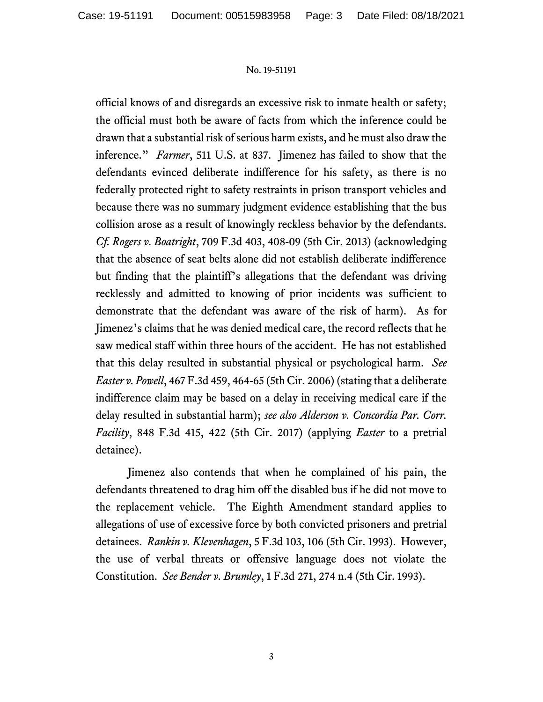## No. 19-51191

official knows of and disregards an excessive risk to inmate health or safety; the official must both be aware of facts from which the inference could be drawn that a substantial risk of serious harm exists, and he must also draw the inference." *Farmer*, 511 U.S. at 837. Jimenez has failed to show that the defendants evinced deliberate indifference for his safety, as there is no federally protected right to safety restraints in prison transport vehicles and because there was no summary judgment evidence establishing that the bus collision arose as a result of knowingly reckless behavior by the defendants. *Cf. Rogers v. Boatright*, 709 F.3d 403, 408-09 (5th Cir. 2013) (acknowledging that the absence of seat belts alone did not establish deliberate indifference but finding that the plaintiff's allegations that the defendant was driving recklessly and admitted to knowing of prior incidents was sufficient to demonstrate that the defendant was aware of the risk of harm). As for Jimenez's claims that he was denied medical care, the record reflects that he saw medical staff within three hours of the accident. He has not established that this delay resulted in substantial physical or psychological harm. *See Easter v. Powell*, 467 F.3d 459, 464-65 (5th Cir. 2006) (stating that a deliberate indifference claim may be based on a delay in receiving medical care if the delay resulted in substantial harm); *see also Alderson v. Concordia Par. Corr. Facility*, 848 F.3d 415, 422 (5th Cir. 2017) (applying *Easter* to a pretrial detainee).

Jimenez also contends that when he complained of his pain, the defendants threatened to drag him off the disabled bus if he did not move to the replacement vehicle. The Eighth Amendment standard applies to allegations of use of excessive force by both convicted prisoners and pretrial detainees. *Rankin v. Klevenhagen*, 5 F.3d 103, 106 (5th Cir. 1993). However, the use of verbal threats or offensive language does not violate the Constitution. *See Bender v. Brumley*, 1 F.3d 271, 274 n.4 (5th Cir. 1993).